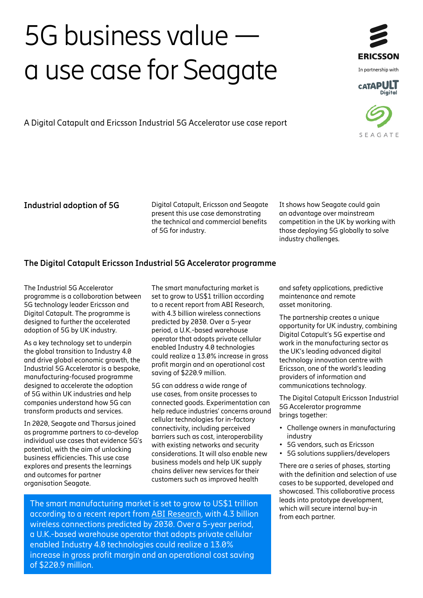# 5G business value **a** use case for Seagate ERICSSON



SEAGATE

A Digital Catapult and Ericsson Industrial 5G Accelerator use case report

**Industrial adoption of 5G** Digital Catapult, Ericsson and Seagate present this use case demonstrating the technical and commercial benefits of 5G for industry.

It shows how Seagate could gain an advantage over mainstream competition in the UK by working with those deploying 5G globally to solve industry challenges.

# **The Digital Catapult Ericsson Industrial 5G Accelerator programme**

The Industrial 5G Accelerator programme is a collaboration between 5G technology leader Ericsson and Digital Catapult. The programme is designed to further the accelerated adoption of 5G by UK industry.

As a key technology set to underpin the global transition to Industry 4.0 and drive global economic growth, the Industrial 5G Accelerator is a bespoke, manufacturing-focused programme designed to accelerate the adoption of 5G within UK industries and help companies understand how 5G can transform products and services.

In 2020, Seagate and Tharsus joined as programme partners to co-develop individual use cases that evidence 5G's potential, with the aim of unlocking business efficiencies. This use case explores and presents the learnings and outcomes for partner organisation Seagate.

The smart manufacturing market is set to grow to US\$1 trillion according to a recent report from ABI Research, with 4.3 billion wireless connections predicted by 2030. Over a 5-year period, a U.K.-based warehouse operator that adopts private cellular enabled Industry 4.0 technologies could realize a 13.0% increase in gross profit margin and an operational cost saving of \$220.9 million.

5G can address a wide range of use cases, from onsite processes to connected goods. Experimentation can help reduce industries' concerns around cellular technologies for in-factory connectivity, including perceived barriers such as cost, interoperability with existing networks and security considerations. It will also enable new business models and help UK supply chains deliver new services for their customers such as improved health

The smart manufacturing market is set to grow to US\$1 trillion according to a recent report from [ABI Research](https://www.ericsson.com/en/blog/2019/11/unlock-the-value-on-industry-4-0), with 4.3 billion wireless connections predicted by 2030. Over a 5-year period, a U.K.-based warehouse operator that adopts private cellular enabled Industry 4.0 technologies could realize a 13.0% increase in gross profit margin and an operational cost saving of \$220.9 million.

and safety applications, predictive maintenance and remote asset monitoring.

The partnership creates a unique opportunity for UK industry, combining Digital Catapult's 5G expertise and work in the manufacturing sector as the UK's leading advanced digital technology innovation centre with Ericsson, one of the world's leading providers of information and communications technology.

The Digital Catapult Ericsson Industrial 5G Accelerator programme brings together:

- Challenge owners in manufacturing industry
- 5G vendors, such as Ericsson
- 5G solutions suppliers/developers

There are a series of phases, starting with the definition and selection of use cases to be supported, developed and showcased. This collaborative process leads into prototype development, which will secure internal buy-in from each partner.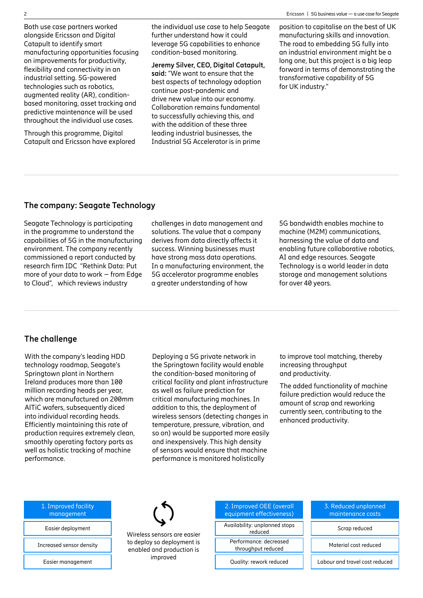Both use case partners worked alongside Ericsson and Digital Catapult to identify smart manufacturing opportunities focusing on improvements for productivity, flexibility and connectivity in an industrial setting. 5G-powered technologies such as robotics, augmented reality (AR), conditionbased monitoring, asset tracking and predictive maintenance will be used throughout the individual use cases.

Through this programme, Digital Catapult and Ericsson have explored the individual use case to help Seagate further understand how it could leverage 5G capabilities to enhance condition-based monitoring.

**Jeremy Silver, CEO, Digital Catapult, said:** "We want to ensure that the best aspects of technology adoption continue post-pandemic and drive new value into our economy. Collaboration remains fundamental to successfully achieving this, and with the addition of these three leading industrial businesses, the Industrial 5G Accelerator is in prime

2 Ericsson | 5G business value — a use case for Seagate

position to capitalise on the best of UK manufacturing skills and innovation. The road to embedding 5G fully into an industrial environment might be a long one, but this project is a big leap forward in terms of demonstrating the transformative capability of 5G for UK industry."

### **The company: Seagate Technology**

Seagate Technology is participating in the programme to understand the capabilities of 5G in the manufacturing environment. The company recently commissioned a report conducted by research firm IDC "Rethink Data: Put more of your data to work – from Edge to Cloud", which reviews industry

challenges in data management and solutions. The value that a company derives from data directly affects it success. Winning businesses must have strong mass data operations. In a manufacturing environment, the 5G accelerator programme enables a greater understanding of how

5G bandwidth enables machine to machine (M2M) communications, harnessing the value of data and enabling future collaborative robotics, AI and edge resources. Seagate Technology is a world leader in data storage and management solutions for over 40 years.

## **The challenge**

With the company's leading HDD technology roadmap, Seagate's Springtown plant in Northern Ireland produces more than 100 million recording heads per year, which are manufactured on 200mm AlTiC wafers, subsequently diced into individual recording heads. Efficiently maintaining this rate of production requires extremely clean, smoothly operating factory parts as well as holistic tracking of machine performance.

Deploying a 5G private network in the Springtown facility would enable the condition-based monitoring of critical facility and plant infrastructure as well as failure prediction for critical manufacturing machines. In addition to this, the deployment of wireless sensors (detecting changes in temperature, pressure, vibration, and so on) would be supported more easily and inexpensively. This high density of sensors would ensure that machine performance is monitored holistically

to improve tool matching, thereby increasing throughput and productivity.

The added functionality of machine failure prediction would reduce the amount of scrap and reworking currently seen, contributing to the enhanced productivity.

| 1. Improved facility<br>management |
|------------------------------------|
| Easier deployment                  |
| Increased sensor density           |
| Easier management                  |



2. Improved OEE (overall equipment effectiveness) Availability: unplanned stops<br>reduced

Performance: decreased<br>throughput reduced Material cost reduced

3. Reduced unplanned maintenance costs

Scrap reduced

Quality: rework reduced **Labour and travel cost reduced**